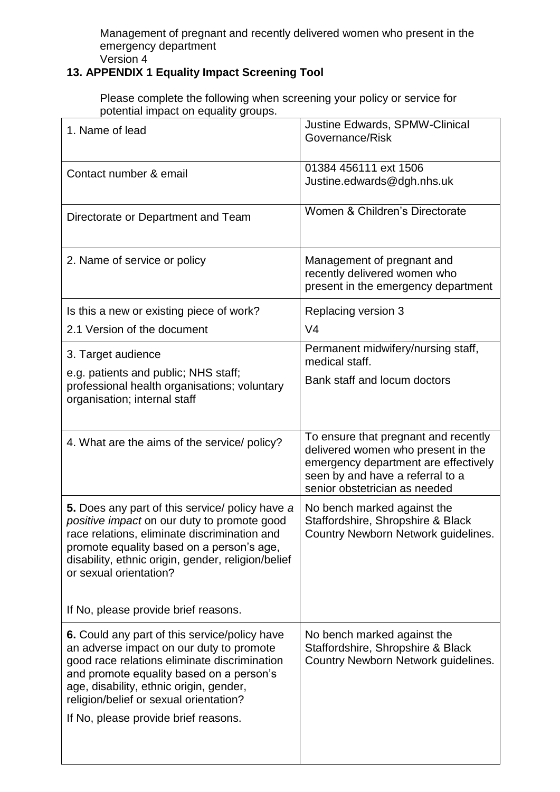Management of pregnant and recently delivered women who present in the emergency department Version 4

## **13. APPENDIX 1 Equality Impact Screening Tool**

Please complete the following when screening your policy or service for potential impact on equality groups.

| 1. Name of lead                                                                                                                                                                                                                                                                                                           | Justine Edwards, SPMW-Clinical<br>Governance/Risk                                                                                                                                       |
|---------------------------------------------------------------------------------------------------------------------------------------------------------------------------------------------------------------------------------------------------------------------------------------------------------------------------|-----------------------------------------------------------------------------------------------------------------------------------------------------------------------------------------|
| Contact number & email                                                                                                                                                                                                                                                                                                    | 01384 456111 ext 1506<br>Justine.edwards@dgh.nhs.uk                                                                                                                                     |
| Directorate or Department and Team                                                                                                                                                                                                                                                                                        | Women & Children's Directorate                                                                                                                                                          |
| 2. Name of service or policy                                                                                                                                                                                                                                                                                              | Management of pregnant and<br>recently delivered women who<br>present in the emergency department                                                                                       |
| Is this a new or existing piece of work?                                                                                                                                                                                                                                                                                  | Replacing version 3                                                                                                                                                                     |
| 2.1 Version of the document                                                                                                                                                                                                                                                                                               | V <sub>4</sub>                                                                                                                                                                          |
| 3. Target audience                                                                                                                                                                                                                                                                                                        | Permanent midwifery/nursing staff,<br>medical staff.                                                                                                                                    |
| e.g. patients and public; NHS staff;<br>professional health organisations; voluntary<br>organisation; internal staff                                                                                                                                                                                                      | Bank staff and locum doctors                                                                                                                                                            |
| 4. What are the aims of the service/ policy?                                                                                                                                                                                                                                                                              | To ensure that pregnant and recently<br>delivered women who present in the<br>emergency department are effectively<br>seen by and have a referral to a<br>senior obstetrician as needed |
| 5. Does any part of this service/ policy have a<br>positive impact on our duty to promote good<br>race relations, eliminate discrimination and<br>promote equality based on a person's age,<br>disability, ethnic origin, gender, religion/belief<br>or sexual orientation?                                               | No bench marked against the<br>Staffordshire, Shropshire & Black<br>Country Newborn Network guidelines.                                                                                 |
| If No, please provide brief reasons.                                                                                                                                                                                                                                                                                      |                                                                                                                                                                                         |
| <b>6.</b> Could any part of this service/policy have<br>an adverse impact on our duty to promote<br>good race relations eliminate discrimination<br>and promote equality based on a person's<br>age, disability, ethnic origin, gender,<br>religion/belief or sexual orientation?<br>If No, please provide brief reasons. | No bench marked against the<br>Staffordshire, Shropshire & Black<br>Country Newborn Network guidelines.                                                                                 |